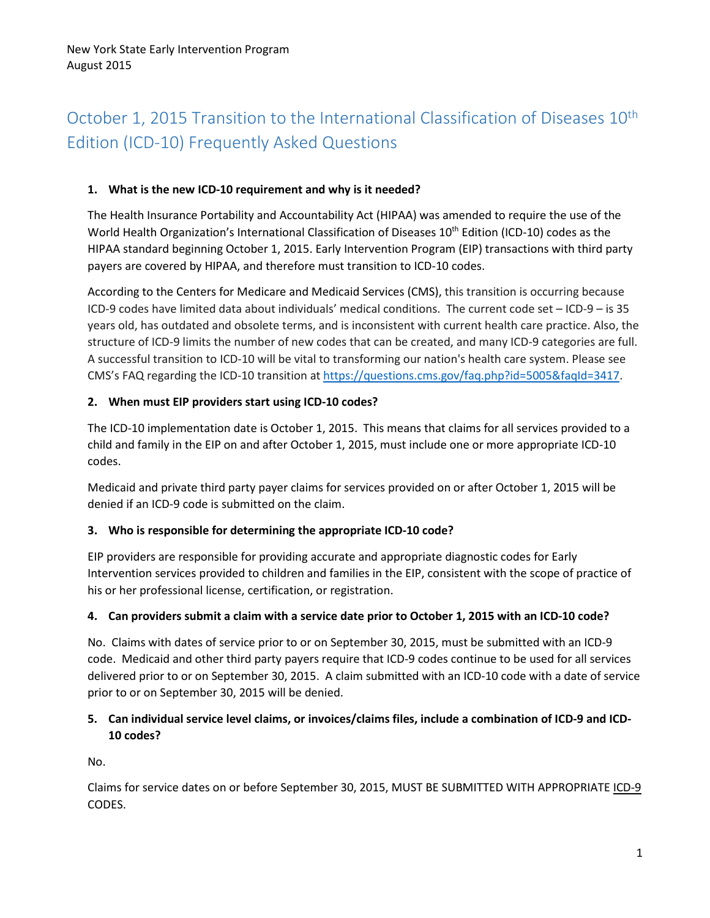# October 1, 2015 Transition to the International Classification of Diseases 10<sup>th</sup> Edition (ICD-10) Frequently Asked Questions

#### **1. What is the new ICD-10 requirement and why is it needed?**

The Health Insurance Portability and Accountability Act (HIPAA) was amended to require the use of the World Health Organization's International Classification of Diseases 10<sup>th</sup> Edition (ICD-10) codes as the HIPAA standard beginning October 1, 2015. Early Intervention Program (EIP) transactions with third party payers are covered by HIPAA, and therefore must transition to ICD-10 codes.

According to the Centers for Medicare and Medicaid Services (CMS), this transition is occurring because ICD-9 codes have limited data about individuals' medical conditions. The current code set – ICD-9 – is 35 years old, has outdated and obsolete terms, and is inconsistent with current health care practice. Also, the structure of ICD-9 limits the number of new codes that can be created, and many ICD-9 categories are full. A successful transition to ICD-10 will be vital to transforming our nation's health care system. Please see CMS's FAQ regarding the ICD-10 transition at [https://questions.cms.gov/faq.php?id=5005&faqId=3417.](https://questions.cms.gov/faq.php?id=5005&faqId=3417)

#### **2. When must EIP providers start using ICD-10 codes?**

The ICD-10 implementation date is October 1, 2015. This means that claims for all services provided to a child and family in the EIP on and after October 1, 2015, must include one or more appropriate ICD-10 codes.

Medicaid and private third party payer claims for services provided on or after October 1, 2015 will be denied if an ICD-9 code is submitted on the claim.

#### **3. Who is responsible for determining the appropriate ICD-10 code?**

EIP providers are responsible for providing accurate and appropriate diagnostic codes for Early Intervention services provided to children and families in the EIP, consistent with the scope of practice of his or her professional license, certification, or registration.

#### **4. Can providers submit a claim with a service date prior to October 1, 2015 with an ICD-10 code?**

No. Claims with dates of service prior to or on September 30, 2015, must be submitted with an ICD-9 code. Medicaid and other third party payers require that ICD-9 codes continue to be used for all services delivered prior to or on September 30, 2015. A claim submitted with an ICD-10 code with a date of service prior to or on September 30, 2015 will be denied.

## **5. Can individual service level claims, or invoices/claims files, include a combination of ICD-9 and ICD-10 codes?**

No.

Claims for service dates on or before September 30, 2015, MUST BE SUBMITTED WITH APPROPRIATE ICD-9 CODES.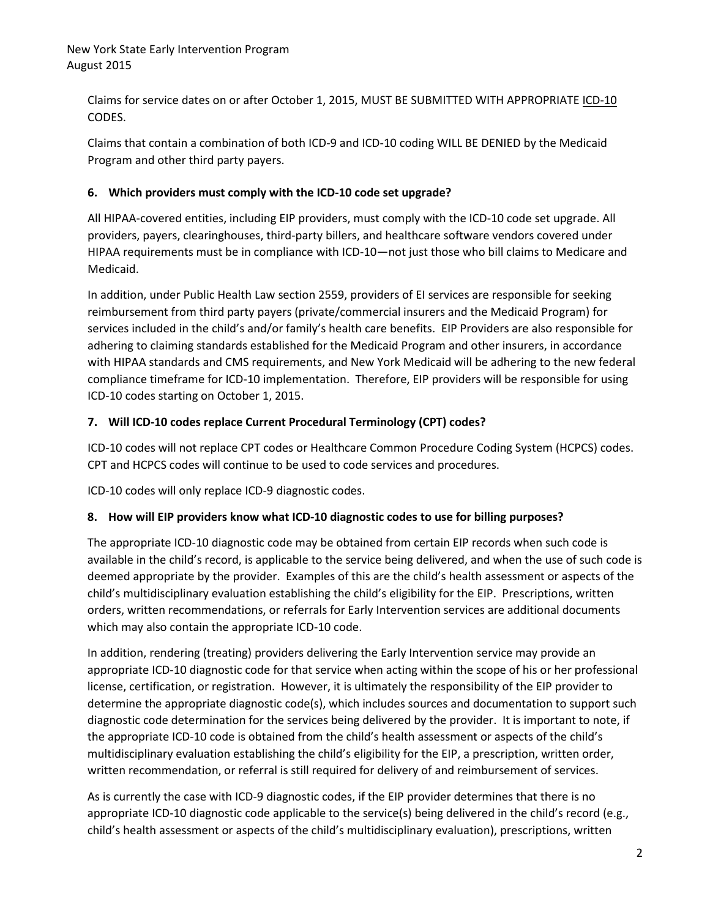#### New York State Early Intervention Program August 2015

Claims for service dates on or after October 1, 2015, MUST BE SUBMITTED WITH APPROPRIATE ICD-10 CODES.

Claims that contain a combination of both ICD-9 and ICD-10 coding WILL BE DENIED by the Medicaid Program and other third party payers.

## **6. Which providers must comply with the ICD-10 code set upgrade?**

All HIPAA-covered entities, including EIP providers, must comply with the ICD-10 code set upgrade. All providers, payers, clearinghouses, third-party billers, and healthcare software vendors covered under HIPAA requirements must be in compliance with ICD-10—not just those who bill claims to Medicare and Medicaid.

In addition, under Public Health Law section 2559, providers of EI services are responsible for seeking reimbursement from third party payers (private/commercial insurers and the Medicaid Program) for services included in the child's and/or family's health care benefits. EIP Providers are also responsible for adhering to claiming standards established for the Medicaid Program and other insurers, in accordance with HIPAA standards and CMS requirements, and New York Medicaid will be adhering to the new federal compliance timeframe for ICD-10 implementation. Therefore, EIP providers will be responsible for using ICD-10 codes starting on October 1, 2015.

#### **7. Will ICD-10 codes replace Current Procedural Terminology (CPT) codes?**

ICD-10 codes will not replace CPT codes or Healthcare Common Procedure Coding System (HCPCS) codes. CPT and HCPCS codes will continue to be used to code services and procedures.

ICD-10 codes will only replace ICD-9 diagnostic codes.

## **8. How will EIP providers know what ICD-10 diagnostic codes to use for billing purposes?**

The appropriate ICD-10 diagnostic code may be obtained from certain EIP records when such code is available in the child's record, is applicable to the service being delivered, and when the use of such code is deemed appropriate by the provider. Examples of this are the child's health assessment or aspects of the child's multidisciplinary evaluation establishing the child's eligibility for the EIP. Prescriptions, written orders, written recommendations, or referrals for Early Intervention services are additional documents which may also contain the appropriate ICD-10 code.

In addition, rendering (treating) providers delivering the Early Intervention service may provide an appropriate ICD-10 diagnostic code for that service when acting within the scope of his or her professional license, certification, or registration. However, it is ultimately the responsibility of the EIP provider to determine the appropriate diagnostic code(s), which includes sources and documentation to support such diagnostic code determination for the services being delivered by the provider. It is important to note, if the appropriate ICD-10 code is obtained from the child's health assessment or aspects of the child's multidisciplinary evaluation establishing the child's eligibility for the EIP, a prescription, written order, written recommendation, or referral is still required for delivery of and reimbursement of services.

As is currently the case with ICD-9 diagnostic codes, if the EIP provider determines that there is no appropriate ICD-10 diagnostic code applicable to the service(s) being delivered in the child's record (e.g., child's health assessment or aspects of the child's multidisciplinary evaluation), prescriptions, written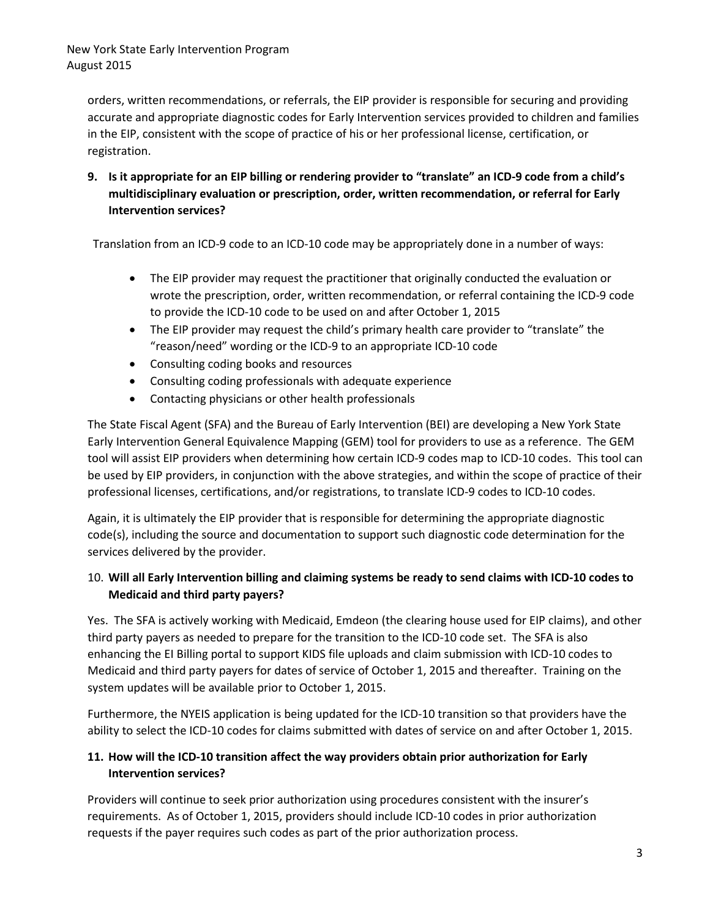orders, written recommendations, or referrals, the EIP provider is responsible for securing and providing accurate and appropriate diagnostic codes for Early Intervention services provided to children and families in the EIP, consistent with the scope of practice of his or her professional license, certification, or registration.

**9. Is it appropriate for an EIP billing or rendering provider to "translate" an ICD-9 code from a child's multidisciplinary evaluation or prescription, order, written recommendation, or referral for Early Intervention services?**

Translation from an ICD-9 code to an ICD-10 code may be appropriately done in a number of ways:

- The EIP provider may request the practitioner that originally conducted the evaluation or wrote the prescription, order, written recommendation, or referral containing the ICD-9 code to provide the ICD-10 code to be used on and after October 1, 2015
- The EIP provider may request the child's primary health care provider to "translate" the "reason/need" wording or the ICD-9 to an appropriate ICD-10 code
- Consulting coding books and resources
- Consulting coding professionals with adequate experience
- Contacting physicians or other health professionals

The State Fiscal Agent (SFA) and the Bureau of Early Intervention (BEI) are developing a New York State Early Intervention General Equivalence Mapping (GEM) tool for providers to use as a reference. The GEM tool will assist EIP providers when determining how certain ICD-9 codes map to ICD-10 codes. This tool can be used by EIP providers, in conjunction with the above strategies, and within the scope of practice of their professional licenses, certifications, and/or registrations, to translate ICD-9 codes to ICD-10 codes.

Again, it is ultimately the EIP provider that is responsible for determining the appropriate diagnostic code(s), including the source and documentation to support such diagnostic code determination for the services delivered by the provider.

# 10. **Will all Early Intervention billing and claiming systems be ready to send claims with ICD-10 codes to Medicaid and third party payers?**

Yes. The SFA is actively working with Medicaid, Emdeon (the clearing house used for EIP claims), and other third party payers as needed to prepare for the transition to the ICD-10 code set. The SFA is also enhancing the EI Billing portal to support KIDS file uploads and claim submission with ICD-10 codes to Medicaid and third party payers for dates of service of October 1, 2015 and thereafter. Training on the system updates will be available prior to October 1, 2015.

Furthermore, the NYEIS application is being updated for the ICD-10 transition so that providers have the ability to select the ICD-10 codes for claims submitted with dates of service on and after October 1, 2015.

## **11. How will the ICD-10 transition affect the way providers obtain prior authorization for Early Intervention services?**

Providers will continue to seek prior authorization using procedures consistent with the insurer's requirements. As of October 1, 2015, providers should include ICD-10 codes in prior authorization requests if the payer requires such codes as part of the prior authorization process.